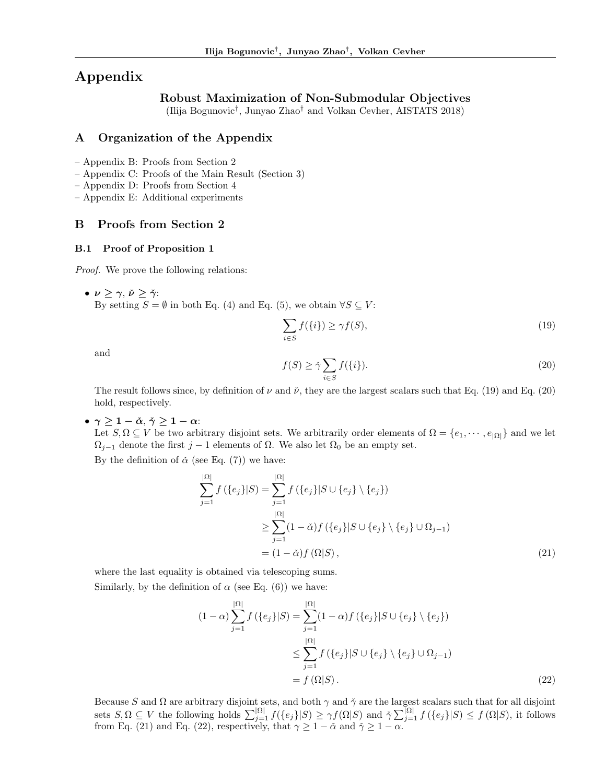# Appendix

# Robust Maximization of Non-Submodular Objectives

(Ilija Bogunovic*†*, Junyao Zhao*†* and Volkan Cevher, AISTATS 2018)

## A Organization of the Appendix

- Appendix B: Proofs from Section 2
- Appendix C: Proofs of the Main Result (Section 3)
- Appendix D: Proofs from Section 4
- Appendix E: Additional experiments

## B Proofs from Section 2

## B.1 Proof of Proposition 1

*Proof.* We prove the following relations:

•  $\nu \geq \gamma$ ,  $\check{\nu} \geq \check{\gamma}$ : By setting  $S = \emptyset$  in both Eq. (4) and Eq. (5), we obtain  $\forall S \subseteq V$ :

$$
\sum_{i \in S} f(\{i\}) \ge \gamma f(S),\tag{19}
$$

and

$$
f(S) \ge \tilde{\gamma} \sum_{i \in S} f(\{i\}).\tag{20}
$$

The result follows since, by definition of  $\nu$  and  $\check{\nu}$ , they are the largest scalars such that Eq. (19) and Eq. (20) hold, respectively.

•  $\gamma \geq 1 - \check{\alpha}, \check{\gamma} \geq 1 - \alpha$ :

Let  $S, \Omega \subseteq V$  be two arbitrary disjoint sets. We arbitrarily order elements of  $\Omega = \{e_1, \dots, e_{|\Omega|}\}\$  and we let  $\Omega_{j-1}$  denote the first  $j-1$  elements of  $\Omega$ . We also let  $\Omega_0$  be an empty set.

By the definition of  $\check{\alpha}$  (see Eq. (7)) we have:

$$
\sum_{j=1}^{|\Omega|} f(\{e_j\}|S) = \sum_{j=1}^{|\Omega|} f(\{e_j\}|S \cup \{e_j\} \setminus \{e_j\})
$$
  
\n
$$
\geq \sum_{j=1}^{|\Omega|} (1 - \check{\alpha}) f(\{e_j\}|S \cup \{e_j\} \setminus \{e_j\} \cup \Omega_{j-1})
$$
  
\n
$$
= (1 - \check{\alpha}) f(\Omega|S),
$$
\n(21)

where the last equality is obtained via telescoping sums. Similarly, by the definition of  $\alpha$  (see Eq. (6)) we have:

$$
(1 - \alpha) \sum_{j=1}^{|\Omega|} f(\{e_j\}|S) = \sum_{j=1}^{|\Omega|} (1 - \alpha) f(\{e_j\}|S \cup \{e_j\} \setminus \{e_j\})
$$
  

$$
\leq \sum_{j=1}^{|\Omega|} f(\{e_j\}|S \cup \{e_j\} \setminus \{e_j\} \cup \Omega_{j-1})
$$
  

$$
= f(\Omega|S).
$$
 (22)

Because *S* and  $\Omega$  are arbitrary disjoint sets, and both  $\gamma$  and  $\check{\gamma}$  are the largest scalars such that for all disjoint sets  $S, \Omega \subseteq V$  the following holds  $\sum_{j=1}^{|\Omega|} f(\{e_j\}|S) \geq \gamma f(\Omega|S)$  and  $\check{\gamma} \sum_{j=1}^{|\Omega|} f(\{e_j\}|S) \leq f(\Omega|S)$ , it follows from Eq. (21) and Eq. (22), respectively, that  $\gamma \geq 1 - \check{\alpha}$  and  $\check{\gamma} \geq 1 - \alpha$ .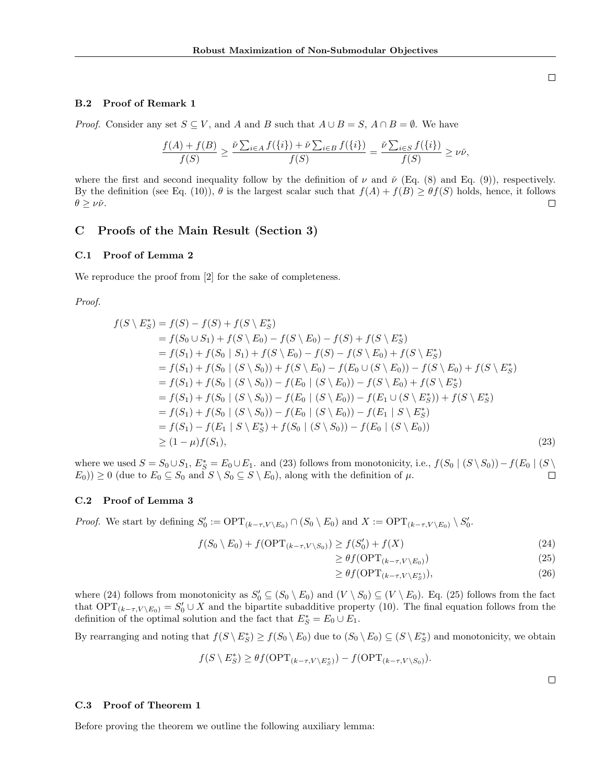#### B.2 Proof of Remark 1

*Proof.* Consider any set  $S \subseteq V$ , and *A* and *B* such that  $A \cup B = S$ ,  $A \cap B = \emptyset$ . We have

$$
\frac{f(A)+f(B)}{f(S)} \ge \frac{\check{\nu}\sum_{i\in A}f(\{i\})+\check{\nu}\sum_{i\in B}f(\{i\})}{f(S)} = \frac{\check{\nu}\sum_{i\in S}f(\{i\})}{f(S)} \ge \nu\check{\nu},
$$

where the first and second inequality follow by the definition of  $\nu$  and  $\check{\nu}$  (Eq. (8) and Eq. (9)), respectively. By the definition (see Eq. (10)),  $\theta$  is the largest scalar such that  $f(A) + f(B) \geq \theta f(S)$  holds, hence, it follows  $\theta > \nu \nu$ .  $\theta \geq \nu \check{\nu}$ .

# C Proofs of the Main Result (Section 3)

## C.1 Proof of Lemma 2

We reproduce the proof from [2] for the sake of completeness.

*Proof.*

$$
f(S \setminus E_S^*) = f(S) - f(S) + f(S \setminus E_S^*)
$$
  
=  $f(S_0 \cup S_1) + f(S \setminus E_0) - f(S \setminus E_0) - f(S) + f(S \setminus E_S^*)$   
=  $f(S_1) + f(S_0 | S_1) + f(S \setminus E_0) - f(S) - f(S \setminus E_0) + f(S \setminus E_S^*)$   
=  $f(S_1) + f(S_0 | (S \setminus S_0)) + f(S \setminus E_0) - f(E_0 \cup (S \setminus E_0)) - f(S \setminus E_0) + f(S \setminus E_S^*)$   
=  $f(S_1) + f(S_0 | (S \setminus S_0)) - f(E_0 | (S \setminus E_0)) - f(S \setminus E_0) + f(S \setminus E_S^*)$   
=  $f(S_1) + f(S_0 | (S \setminus S_0)) - f(E_0 | (S \setminus E_0)) - f(E_1 \cup (S \setminus E_S^*)) + f(S \setminus E_S^*)$   
=  $f(S_1) + f(S_0 | (S \setminus S_0)) - f(E_0 | (S \setminus E_0)) - f(E_1 | S \setminus E_S^*)$   
=  $f(S_1) - f(E_1 | S \setminus E_S^*) + f(S_0 | (S \setminus S_0)) - f(E_0 | (S \setminus E_0))$   
 $\geq (1 - \mu) f(S_1),$  (23)

where we used  $S = S_0 \cup S_1$ ,  $E_S^* = E_0 \cup E_1$ , and (23) follows from monotonicity, i.e.,  $f(S_0 | (S \setminus S_0)) - f(E_0 | (S \setminus S_1))$  $E_0$ ))  $\geq 0$  (due to  $E_0 \subseteq S_0$  and  $S \setminus S_0 \subseteq S \setminus E_0$ ), along with the definition of  $\mu$ .

## C.2 Proof of Lemma 3

*Proof.* We start by defining  $S'_0 := \text{OPT}_{(k-\tau,V \setminus E_0)} \cap (S_0 \setminus E_0)$  and  $X := \text{OPT}_{(k-\tau,V \setminus E_0)} \setminus S'_0$ .

$$
f(S_0 \setminus E_0) + f(\text{OPT}_{(k-\tau,V \setminus S_0)}) \ge f(S'_0) + f(X)
$$
\n(24)

$$
\geq \theta f(\text{OPT}_{(k-\tau,V\setminus E_0)})\tag{25}
$$

$$
\geq \theta f(\text{OPT}_{(k-\tau,V\setminus E^*_S)}),\tag{26}
$$

where (24) follows from monotonicity as  $S_0' \subseteq (S_0 \setminus E_0)$  and  $(V \setminus S_0) \subseteq (V \setminus E_0)$ . Eq. (25) follows from the fact that  $OPT_{(k-\tau,V\setminus E_0)} = S_0' \cup X$  and the bipartite subadditive property (10). The final equation follows from the definition of the optimal solution and the fact that  $E_S^* = E_0 \cup E_1$ .

By rearranging and noting that  $f(S \setminus E_S^*) \ge f(S_0 \setminus E_0)$  due to  $(S_0 \setminus E_0) \subseteq (S \setminus E_S^*)$  and monotonicity, we obtain

$$
f(S \setminus E_S^*) \ge \theta f(\text{OPT}_{(k-\tau,V \setminus E_S^*)}) - f(\text{OPT}_{(k-\tau,V \setminus S_0)}).
$$

 $\Box$ 

#### C.3 Proof of Theorem 1

Before proving the theorem we outline the following auxiliary lemma: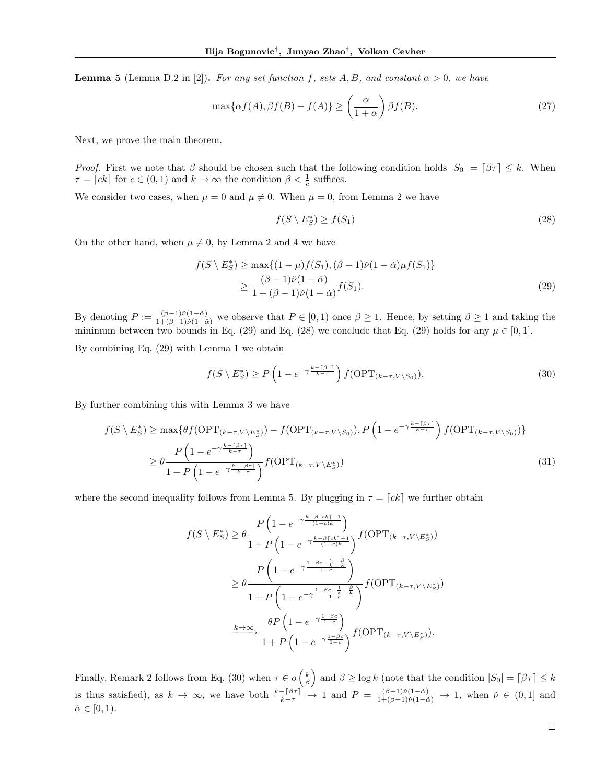**Lemma 5** (Lemma D.2 in [2]). *For any set function f, sets*  $A, B$ *, and constant*  $\alpha > 0$ *, we have* 

$$
\max\{\alpha f(A), \beta f(B) - f(A)\} \ge \left(\frac{\alpha}{1+\alpha}\right) \beta f(B). \tag{27}
$$

Next, we prove the main theorem.

*Proof.* First we note that  $\beta$  should be chosen such that the following condition holds  $|S_0| = |\beta \tau| \leq k$ . When  $\tau = [ck]$  for  $c \in (0, 1)$  and  $k \to \infty$  the condition  $\beta < \frac{1}{c}$  suffices.

We consider two cases, when  $\mu = 0$  and  $\mu \neq 0$ . When  $\mu = 0$ , from Lemma 2 we have

$$
f(S \setminus E_S^*) \ge f(S_1) \tag{28}
$$

On the other hand, when  $\mu \neq 0$ , by Lemma 2 and 4 we have

$$
f(S \setminus E_S^*) \ge \max\{(1-\mu)f(S_1), (\beta-1)\check{\nu}(1-\check{\alpha})\mu f(S_1)\}\
$$
  

$$
\ge \frac{(\beta-1)\check{\nu}(1-\check{\alpha})}{1+(\beta-1)\check{\nu}(1-\check{\alpha})}f(S_1).
$$
 (29)

By denoting  $P := \frac{(\beta-1)\tilde{\nu}(1-\tilde{\alpha})}{1+(\beta-1)\tilde{\nu}(1-\tilde{\alpha})}$  we observe that  $P \in [0,1)$  once  $\beta \ge 1$ . Hence, by setting  $\beta \ge 1$  and taking the minimum between two bounds in Eq. (29) and Eq. (28) we conclude that Eq. (29) holds for any  $\mu \in [0, 1]$ .

By combining Eq. (29) with Lemma 1 we obtain

$$
f(S \setminus E_S^*) \ge P\left(1 - e^{-\gamma \frac{k - \lceil \beta \tau \rceil}{k - \tau}}\right) f(\text{OPT}_{(k - \tau, V \setminus S_0)}).
$$
\n(30)

By further combining this with Lemma 3 we have

$$
f(S \setminus E_S^*) \ge \max\{\theta f(\text{OPT}_{(k-\tau,V \setminus E_S^*)}) - f(\text{OPT}_{(k-\tau,V \setminus S_0)}), P\left(1 - e^{-\gamma \frac{k - \lceil \beta \tau \rceil}{k-\tau}}\right) f(\text{OPT}_{(k-\tau,V \setminus S_0)})\}
$$
  

$$
\ge \theta \frac{P\left(1 - e^{-\gamma \frac{k - \lceil \beta \tau \rceil}{k-\tau}}\right)}{1 + P\left(1 - e^{-\gamma \frac{k - \lceil \beta \tau \rceil}{k-\tau}}\right)} f(\text{OPT}_{(k-\tau,V \setminus E_S^*)})
$$
(31)

where the second inequality follows from Lemma 5. By plugging in  $\tau = [ck]$  we further obtain

$$
f(S \setminus E_S^*) \ge \theta \frac{P\left(1 - e^{-\gamma \frac{k - \beta \lceil ck \rceil - 1}{(1 - c)k}}\right)}{1 + P\left(1 - e^{-\gamma \frac{k - \beta \lceil ck \rceil - 1}{(1 - c)k}}\right)} f(\text{OPT}_{(k - \tau, V \setminus E_S^*)})
$$

$$
\ge \theta \frac{P\left(1 - e^{-\gamma \frac{1 - \beta c - \frac{1}{k} - \frac{\beta}{k}}{1 - c}}\right)}{1 + P\left(1 - e^{-\gamma \frac{1 - \beta c - \frac{1}{k} - \frac{\beta}{k}}{1 - c}}\right)} f(\text{OPT}_{(k - \tau, V \setminus E_S^*)})
$$

$$
\xrightarrow[k \to \infty]{} \frac{\theta P\left(1 - e^{-\gamma \frac{1 - \beta c}{1 - c}}\right)}{1 + P\left(1 - e^{-\gamma \frac{1 - \beta c}{1 - c}}\right)} f(\text{OPT}_{(k - \tau, V \setminus E_S^*)}).
$$

Finally, Remark 2 follows from Eq. (30) when  $\tau \in o\left(\frac{k}{\beta}\right)$ ) and  $\beta \ge \log k$  (note that the condition  $|S_0| = \lceil \beta \tau \rceil \le k$ is thus satisfied), as  $k \to \infty$ , we have both  $\frac{k-\lceil \beta\tau \rceil}{k-\tau} \to 1$  and  $P = \frac{(\beta-1)\tilde{\nu}(1-\tilde{\alpha})}{1+(\beta-1)\tilde{\nu}(1-\tilde{\alpha})} \to 1$ , when  $\tilde{\nu} \in (0,1]$  and  $\check{\alpha} \in [0, 1).$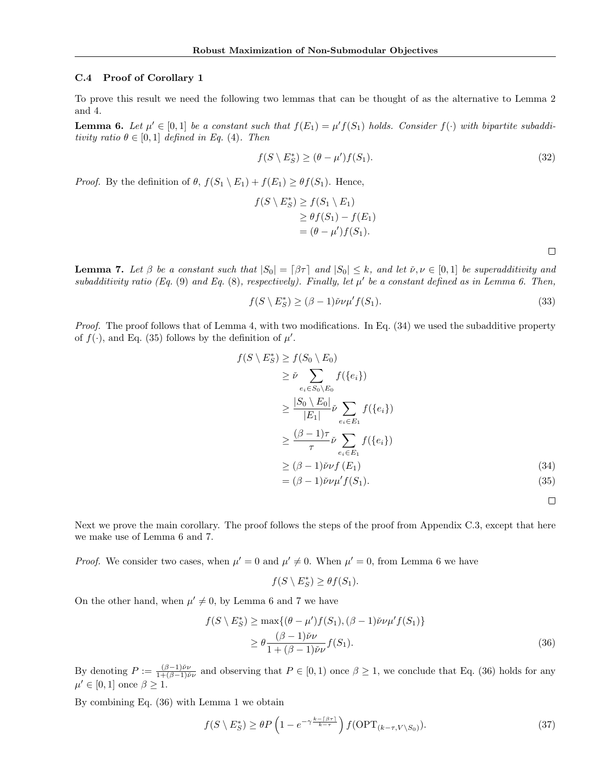## C.4 Proof of Corollary 1

To prove this result we need the following two lemmas that can be thought of as the alternative to Lemma 2 and 4.

**Lemma 6.** Let  $\mu' \in [0,1]$  be a constant such that  $f(E_1) = \mu' f(S_1)$  holds. Consider  $f(\cdot)$  with bipartite subaddi*tivity ratio*  $\theta \in [0, 1]$  *defined in Eq.* (4)*. Then* 

$$
f(S \setminus E_S^*) \ge (\theta - \mu')f(S_1). \tag{32}
$$

*Proof.* By the definition of  $\theta$ ,  $f(S_1 \setminus E_1) + f(E_1) \geq \theta f(S_1)$ . Hence,

$$
f(S \setminus E_S^*) \ge f(S_1 \setminus E_1)
$$
  
\n
$$
\ge \theta f(S_1) - f(E_1)
$$
  
\n
$$
= (\theta - \mu')f(S_1).
$$

 $\Box$ 

**Lemma 7.** Let  $\beta$  be a constant such that  $|S_0| = \beta \tau \mid$  and  $|S_0| \leq k$ , and let  $\check{\nu}, \nu \in [0,1]$  be superadditivity and *subadditivity ratio (Eq.* (9) and Eq. (8), respectively). Finally, let  $\mu'$  be a constant defined as in Lemma 6. Then,

$$
f(S \setminus E_S^*) \ge (\beta - 1)\check{\nu}\nu\mu'f(S_1). \tag{33}
$$

*Proof.* The proof follows that of Lemma 4, with two modifications. In Eq. (34) we used the subadditive property of  $f(\cdot)$ , and Eq. (35) follows by the definition of  $\mu'$ .

 $f(x) = F(x)$ 

$$
f(S \setminus E_S^*) \ge f(S_0 \setminus E_0)
$$
  
\n
$$
\ge \check{\nu} \sum_{e_i \in S_0 \setminus E_0} f(\{e_i\})
$$
  
\n
$$
\ge \frac{|S_0 \setminus E_0|}{|E_1|} \check{\nu} \sum_{e_i \in E_1} f(\{e_i\})
$$
  
\n
$$
\ge \frac{(\beta - 1)\tau}{\tau} \check{\nu} \sum_{e_i \in E_1} f(\{e_i\})
$$
  
\n
$$
\ge (\beta - 1) \check{\nu} \nu f(E_1)
$$
  
\n
$$
= (\beta - 1) \check{\nu} \nu \mu' f(S_1).
$$
\n(34)

 $\Box$ 

Next we prove the main corollary. The proof follows the steps of the proof from Appendix C.3, except that here we make use of Lemma 6 and 7.

*Proof.* We consider two cases, when  $\mu' = 0$  and  $\mu' \neq 0$ . When  $\mu' = 0$ , from Lemma 6 we have

$$
f(S \setminus E_S^*) \ge \theta f(S_1).
$$

On the other hand, when  $\mu' \neq 0$ , by Lemma 6 and 7 we have

$$
f(S \setminus E_S^*) \ge \max\{(\theta - \mu')f(S_1), (\beta - 1)\check{\nu}\nu\mu'f(S_1)\}\
$$
  

$$
\ge \theta \frac{(\beta - 1)\check{\nu}\nu}{1 + (\beta - 1)\check{\nu}\nu}f(S_1).
$$
 (36)

By denoting  $P := \frac{(\beta - 1)\tilde{\nu}\nu}{1 + (\beta - 1)\tilde{\nu}\nu}$  and observing that  $P \in [0, 1)$  once  $\beta \ge 1$ , we conclude that Eq. (36) holds for any  $\mu' \in [0, 1]$  once  $\beta \geq 1$ .

By combining Eq. (36) with Lemma 1 we obtain

$$
f(S \setminus E_S^*) \ge \theta P \left( 1 - e^{-\gamma \frac{k - \lceil \beta \tau \rceil}{k - \tau}} \right) f(\text{OPT}_{(k - \tau, V \setminus S_0)}).
$$
\n(37)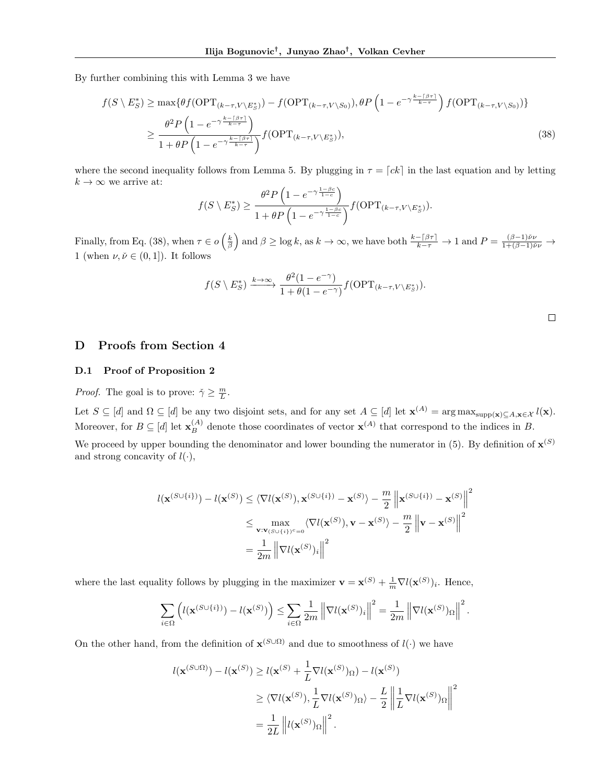By further combining this with Lemma 3 we have

$$
f(S \setminus E_S^*) \ge \max\{\theta f(\text{OPT}_{(k-\tau,V \setminus E_S^*)}) - f(\text{OPT}_{(k-\tau,V \setminus S_0)}), \theta P\left(1 - e^{-\gamma \frac{k - \lceil \beta \tau \rceil}{k-\tau}}\right) f(\text{OPT}_{(k-\tau,V \setminus S_0)})\}
$$
  

$$
\ge \frac{\theta^2 P\left(1 - e^{-\gamma \frac{k - \lceil \beta \tau \rceil}{k-\tau}}\right)}{1 + \theta P\left(1 - e^{-\gamma \frac{k - \lceil \beta \tau \rceil}{k-\tau}}\right)} f(\text{OPT}_{(k-\tau,V \setminus E_S^*)}),
$$
(38)

where the second inequality follows from Lemma 5. By plugging in  $\tau = [ck]$  in the last equation and by letting  $k \to \infty$  we arrive at:  $\overline{A}$   $\overline{A}$ 

$$
f(S \setminus E_S^*) \ge \frac{\theta^2 P\left(1 - e^{-\gamma \frac{1-\beta c}{1-c}}\right)}{1 + \theta P\left(1 - e^{-\gamma \frac{1-\beta c}{1-c}}\right)} f(\text{OPT}_{(k-\tau,V \setminus E_S^*)}).
$$

Finally, from Eq. (38), when  $\tau \in o\left(\frac{k}{\beta}\right)$ ) and  $\beta \ge \log k$ , as  $k \to \infty$ , we have both  $\frac{k - \lceil \beta \tau \rceil}{k - \tau} \to 1$  and  $P = \frac{(\beta - 1)\check{\nu}\nu}{1 + (\beta - 1)\check{\nu}\nu} \to$ 1 (when  $\nu, \check{\nu} \in (0, 1]$ ). It follows

$$
f(S \setminus E_S^*) \xrightarrow{k \to \infty} \frac{\theta^2 (1 - e^{-\gamma})}{1 + \theta (1 - e^{-\gamma})} f(\text{OPT}_{(k - \tau, V \setminus E_S^*)}).
$$

## D Proofs from Section 4

#### D.1 Proof of Proposition 2

*Proof.* The goal is to prove:  $\check{\gamma} \geq \frac{m}{L}$ .

Let  $S \subseteq [d]$  and  $\Omega \subseteq [d]$  be any two disjoint sets, and for any set  $A \subseteq [d]$  let  $\mathbf{x}^{(A)} = \arg \max_{\text{supp}(\mathbf{x}) \subseteq A, \mathbf{x} \in \mathcal{X}} l(\mathbf{x})$ . Moreover, for  $B \subseteq [d]$  let  $\mathbf{x}_{B}^{(A)}$  denote those coordinates of vector  $\mathbf{x}^{(A)}$  that correspond to the indices in *B*. We proceed by upper bounding the denominator and lower bounding the numerator in  $(5)$ . By definition of  $\mathbf{x}^{(S)}$ 

and strong concavity of  $l(\cdot)$ ,

$$
l(\mathbf{x}^{(S \cup \{i\})}) - l(\mathbf{x}^{(S)}) \leq \langle \nabla l(\mathbf{x}^{(S)}), \mathbf{x}^{(S \cup \{i\})} - \mathbf{x}^{(S)} \rangle - \frac{m}{2} ||\mathbf{x}^{(S \cup \{i\})} - \mathbf{x}^{(S)}||^2
$$
  

$$
\leq \max_{\mathbf{v}: \mathbf{v}_{(S \cup \{i\})^c = 0}} \langle \nabla l(\mathbf{x}^{(S)}), \mathbf{v} - \mathbf{x}^{(S)} \rangle - \frac{m}{2} ||\mathbf{v} - \mathbf{x}^{(S)}||^2
$$
  

$$
= \frac{1}{2m} ||\nabla l(\mathbf{x}^{(S)})_i||^2
$$

where the last equality follows by plugging in the maximizer  $\mathbf{v} = \mathbf{x}^{(S)} + \frac{1}{m} \nabla l(\mathbf{x}^{(S)})_i$ . Hence,

$$
\sum_{i\in\Omega}\left(l(\mathbf{x}^{(S\cup\{i\})})-l(\mathbf{x}^{(S)})\right)\leq \sum_{i\in\Omega}\frac{1}{2m}\left\|\nabla l(\mathbf{x}^{(S)})_i\right\|^2=\frac{1}{2m}\left\|\nabla l(\mathbf{x}^{(S)})_{{\Omega}}\right\|^2.
$$

On the other hand, from the definition of  $\mathbf{x}^{(S\cup\Omega)}$  and due to smoothness of  $l(\cdot)$  we have

$$
l(\mathbf{x}^{(S\cup\Omega)}) - l(\mathbf{x}^{(S)}) \ge l(\mathbf{x}^{(S)} + \frac{1}{L}\nabla l(\mathbf{x}^{(S)})_{\Omega}) - l(\mathbf{x}^{(S)})
$$
  
\n
$$
\ge \langle \nabla l(\mathbf{x}^{(S)}), \frac{1}{L}\nabla l(\mathbf{x}^{(S)})_{\Omega} \rangle - \frac{L}{2} \left\| \frac{1}{L}\nabla l(\mathbf{x}^{(S)})_{\Omega} \right\|^2
$$
  
\n
$$
= \frac{1}{2L} \left\| l(\mathbf{x}^{(S)})_{\Omega} \right\|^2.
$$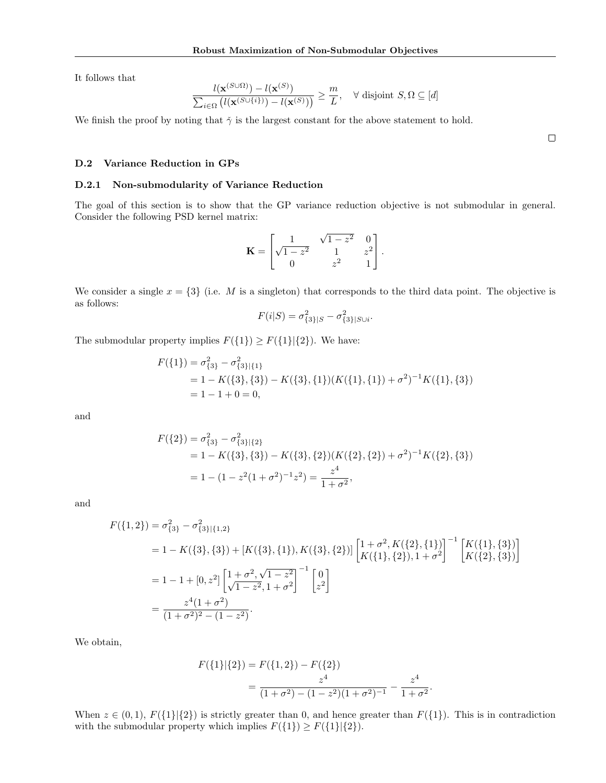It follows that

$$
\frac{l(\mathbf{x}^{(S\cup\Omega)}) - l(\mathbf{x}^{(S)})}{\sum_{i\in\Omega} \left(l(\mathbf{x}^{(S\cup\{i\})}) - l(\mathbf{x}^{(S)})\right)} \geq \frac{m}{L}, \quad \forall \text{ disjoint } S, \Omega \subseteq [d]
$$

We finish the proof by noting that  $\check{\gamma}$  is the largest constant for the above statement to hold.

D.2 Variance Reduction in GPs

### D.2.1 Non-submodularity of Variance Reduction

The goal of this section is to show that the GP variance reduction objective is not submodular in general. Consider the following PSD kernel matrix:

$$
\mathbf{K} = \begin{bmatrix} \frac{1}{\sqrt{1-z^2}} & \sqrt{1-z^2} & 0\\ 0 & z^2 & 1 \end{bmatrix}.
$$

We consider a single  $x = \{3\}$  (i.e. M is a singleton) that corresponds to the third data point. The objective is as follows:

$$
F(i|S) = \sigma_{\{3\}|S}^2 - \sigma_{\{3\}|S\cup i}^2.
$$

The submodular property implies  $F({1}) \ge F({1}||{2})$ . We have:

$$
F({1}) = \sigma_{\{3\}}^2 - \sigma_{\{3\}\{1\}}^2
$$
  
= 1 - K({3}, {3}) - K({3}, {1}) (K({1}, {1}) + \sigma^2)^{-1} K({1}, {3})  
= 1 - 1 + 0 = 0,

and

$$
F({2}) = \sigma_{\{3\}}^2 - \sigma_{\{3\}\{2\}}^2
$$
  
= 1 - K({3}, {3}) - K({3}, {2}) (K({2}, {2}) + \sigma^2)^{-1} K({2}, {3})  
= 1 - (1 - z^2(1 + \sigma^2)^{-1}z^2) = \frac{z^4}{1 + \sigma^2},

and

$$
F(\{1,2\}) = \sigma_{\{3\}}^2 - \sigma_{\{3\}\{1,2\}}^2
$$
  
= 1 - K({3}, {3}) + [K({3}, {1}), K({3}, {2})]  $\left[\frac{1+\sigma^2}{K({1}, {1})}\right]^{-1} \left[\frac{K({1}, {3})}{K({2}, {3})}\right]$   
= 1 - 1 + [0, z<sup>2</sup>]  $\left[\frac{1+\sigma^2}{\sqrt{1-z^2}, 1+\sigma^2}\right]^{-1} \left[\begin{matrix} 0\\ z^2 \end{matrix}\right]$   
=  $\frac{z^4(1+\sigma^2)}{(1+\sigma^2)^2 - (1-z^2)}$ .

We obtain,

$$
F({1}|{2}) = F({1,2}) - F({2})
$$
  
= 
$$
\frac{z^4}{(1+\sigma^2) - (1-z^2)(1+\sigma^2)^{-1}} - \frac{z^4}{1+\sigma^2}.
$$

When  $z \in (0,1)$ ,  $F({1}|\{2\})$  is strictly greater than 0, and hence greater than  $F({1})$ . This is in contradiction with the submodular property which implies  $F({1}) \ge F({1}||{2}).$ 

 $\Box$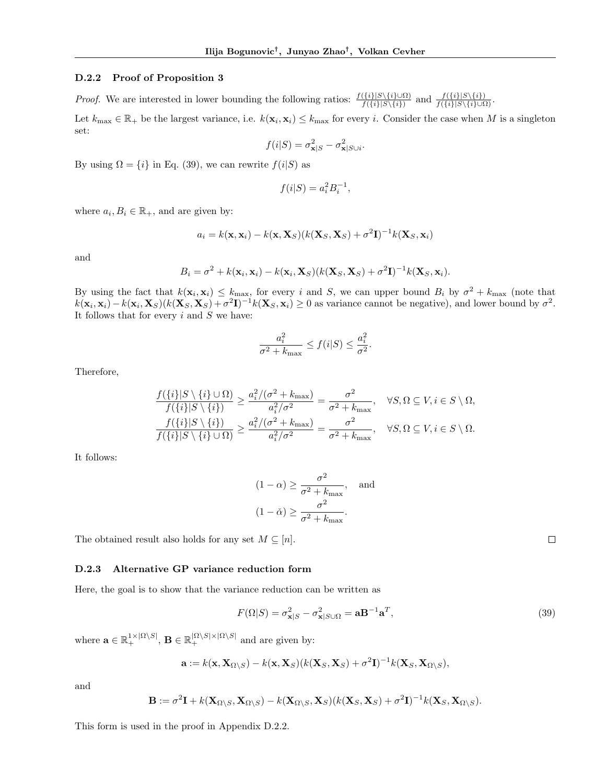#### D.2.2 Proof of Proposition 3

*Proof.* We are interested in lower bounding the following ratios:  $\frac{f(\{i\} | S \setminus \{i\} \cup \Omega)}{f(\{i\} | S \setminus \{i\})}$  and  $\frac{f(\{i\} | S \setminus \{i\} \cup \Omega)}{f(\{i\} | S \setminus \{i\} \cup \Omega)}$ . Let  $k_{\text{max}} \in \mathbb{R}_+$  be the largest variance, i.e.  $k(\mathbf{x}_i, \mathbf{x}_i) \leq k_{\text{max}}$  for every *i*. Consider the case when *M* is a singleton set:

$$
f(i|S) = \sigma_{\mathbf{x}|S}^2 - \sigma_{\mathbf{x}|S\cup i}^2.
$$

By using  $\Omega = \{i\}$  in Eq. (39), we can rewrite  $f(i|S)$  as

$$
f(i|S) = a_i^2 B_i^{-1},
$$

where  $a_i, B_i \in \mathbb{R}_+$ , and are given by:

$$
a_i = k(\mathbf{x}, \mathbf{x}_i) - k(\mathbf{x}, \mathbf{X}_S)(k(\mathbf{X}_S, \mathbf{X}_S) + \sigma^2 \mathbf{I})^{-1} k(\mathbf{X}_S, \mathbf{x}_i)
$$

and

$$
B_i = \sigma^2 + k(\mathbf{x}_i, \mathbf{x}_i) - k(\mathbf{x}_i, \mathbf{X}_S)(k(\mathbf{X}_S, \mathbf{X}_S) + \sigma^2 \mathbf{I})^{-1} k(\mathbf{X}_S, \mathbf{x}_i).
$$

By using the fact that  $k(\mathbf{x}_i, \mathbf{x}_i) \leq k_{\text{max}}$ , for every *i* and *S*, we can upper bound  $B_i$  by  $\sigma^2 + k_{\text{max}}$  (note that  $k(\mathbf{x}_i, \mathbf{x}_i) - k(\mathbf{x}_i, \mathbf{X}_S)(k(\mathbf{X}_S, \mathbf{X}_S) + \sigma^2 \mathbf{I})^{-1} k(\mathbf{X}_S, \mathbf{x}_i) \ge 0$  as variance cannot be negative), and lower bound by  $\sigma^2$ . It follows that for every *i* and *S* we have:

$$
\frac{a_i^2}{\sigma^2 + k_{\text{max}}} \le f(i|S) \le \frac{a_i^2}{\sigma^2}.
$$

Therefore,

$$
\frac{f(\{i\}|S \setminus \{i\} \cup \Omega)}{f(\{i\}|S \setminus \{i\})} \ge \frac{a_i^2/(\sigma^2 + k_{\max})}{a_i^2/\sigma^2} = \frac{\sigma^2}{\sigma^2 + k_{\max}}, \quad \forall S, \Omega \subseteq V, i \in S \setminus \Omega,
$$
  

$$
\frac{f(\{i\}|S \setminus \{i\})}{f(\{i\}|S \setminus \{i\} \cup \Omega)} \ge \frac{a_i^2/(\sigma^2 + k_{\max})}{a_i^2/\sigma^2} = \frac{\sigma^2}{\sigma^2 + k_{\max}}, \quad \forall S, \Omega \subseteq V, i \in S \setminus \Omega.
$$

It follows:

$$
(1 - \alpha) \ge \frac{\sigma^2}{\sigma^2 + k_{\text{max}}}, \text{ and}
$$

$$
(1 - \check{\alpha}) \ge \frac{\sigma^2}{\sigma^2 + k_{\text{max}}}.
$$

The obtained result also holds for any set  $M \subseteq [n]$ .

#### D.2.3 Alternative GP variance reduction form

Here, the goal is to show that the variance reduction can be written as

$$
F(\Omega|S) = \sigma_{\mathbf{x}|S}^2 - \sigma_{\mathbf{x}|S\cup\Omega}^2 = \mathbf{a}\mathbf{B}^{-1}\mathbf{a}^T,
$$
\n(39)

where  $\mathbf{a} \in \mathbb{R}_+^{1 \times |\Omega \setminus S|}$ ,  $\mathbf{B} \in \mathbb{R}_+^{|\Omega \setminus S| \times |\Omega \setminus S|}$  and are given by:

$$
\mathbf{a} := k(\mathbf{x}, \mathbf{X}_{\Omega \setminus S}) - k(\mathbf{x}, \mathbf{X}_S)(k(\mathbf{X}_S, \mathbf{X}_S) + \sigma^2 \mathbf{I})^{-1} k(\mathbf{X}_S, \mathbf{X}_{\Omega \setminus S}),
$$

and

$$
\mathbf{B} := \sigma^2 \mathbf{I} + k(\mathbf{X}_{\Omega \setminus S}, \mathbf{X}_{\Omega \setminus S}) - k(\mathbf{X}_{\Omega \setminus S}, \mathbf{X}_S)(k(\mathbf{X}_S, \mathbf{X}_S) + \sigma^2 \mathbf{I})^{-1} k(\mathbf{X}_S, \mathbf{X}_{\Omega \setminus S}).
$$

This form is used in the proof in Appendix D.2.2.

 $\Box$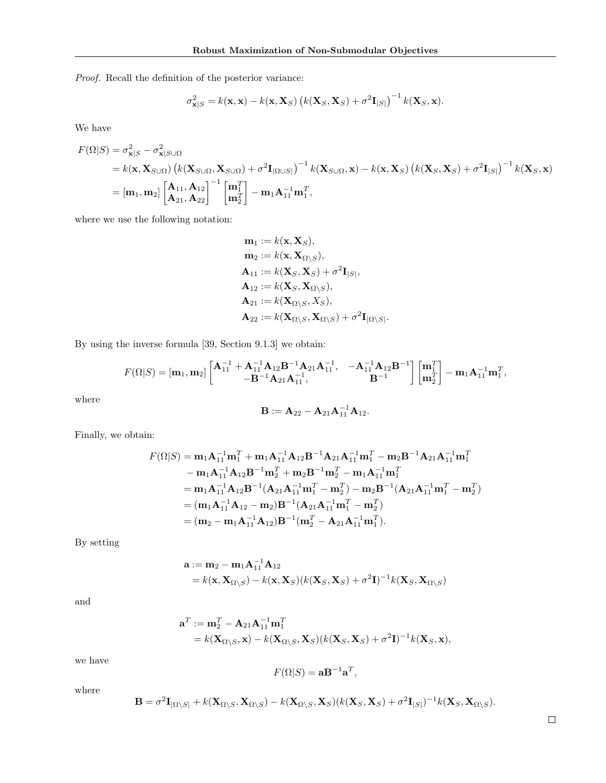*Proof.* Recall the definition of the posterior variance:

$$
\sigma_{\mathbf{x}|S}^2 = k(\mathbf{x}, \mathbf{x}) - k(\mathbf{x}, \mathbf{X}_S) \left( k(\mathbf{X}_S, \mathbf{X}_S) + \sigma^2 \mathbf{I}_{|S|} \right)^{-1} k(\mathbf{X}_S, \mathbf{x}).
$$

We have

$$
F(\Omega|S) = \sigma_{\mathbf{x}|S}^2 - \sigma_{\mathbf{x}|S\cup\Omega}^2
$$
  
=  $k(\mathbf{x}, \mathbf{X}_{S\cup\Omega}) (k(\mathbf{X}_{S\cup\Omega}, \mathbf{X}_{S\cup\Omega}) + \sigma^2 \mathbf{I}_{|\Omega\cup S|})^{-1} k(\mathbf{X}_{S\cup\Omega}, \mathbf{x}) - k(\mathbf{x}, \mathbf{X}_{S}) (k(\mathbf{X}_{S}, \mathbf{X}_{S}) + \sigma^2 \mathbf{I}_{|S|})^{-1} k(\mathbf{X}_{S}, \mathbf{x})$   
=  $[\mathbf{m}_1, \mathbf{m}_2] \begin{bmatrix} \mathbf{A}_{11}, \mathbf{A}_{12} \\ \mathbf{A}_{21}, \mathbf{A}_{22} \end{bmatrix}^{-1} \begin{bmatrix} \mathbf{m}_1^T \\ \mathbf{m}_2^T \end{bmatrix} - \mathbf{m}_1 \mathbf{A}_{11}^{-1} \mathbf{m}_1^T,$ 

where we use the following notation:

$$
\mathbf{m}_1 := k(\mathbf{x}, \mathbf{X}_S),
$$
  
\n
$$
\mathbf{m}_2 := k(\mathbf{x}, \mathbf{X}_{\Omega \setminus S}),
$$
  
\n
$$
\mathbf{A}_{11} := k(\mathbf{X}_S, \mathbf{X}_S) + \sigma^2 \mathbf{I}_{|S|},
$$
  
\n
$$
\mathbf{A}_{12} := k(\mathbf{X}_S, \mathbf{X}_{\Omega \setminus S}),
$$
  
\n
$$
\mathbf{A}_{21} := k(\mathbf{X}_{\Omega \setminus S}, X_S),
$$
  
\n
$$
\mathbf{A}_{22} := k(\mathbf{X}_{\Omega \setminus S}, \mathbf{X}_{\Omega \setminus S}) + \sigma^2 \mathbf{I}_{|\Omega \setminus S|}.
$$

By using the inverse formula [39, Section 9.1.3] we obtain:

$$
F(\Omega|S) = [\mathbf{m}_1, \mathbf{m}_2] \begin{bmatrix} \mathbf{A}_{11}^{-1} + \mathbf{A}_{11}^{-1} \mathbf{A}_{12} \mathbf{B}^{-1} \mathbf{A}_{21} \mathbf{A}_{11}^{-1}, & -\mathbf{A}_{11}^{-1} \mathbf{A}_{12} \mathbf{B}^{-1} \\ -\mathbf{B}^{-1} \mathbf{A}_{21} \mathbf{A}_{11}^{-1}, & \mathbf{B}^{-1} \end{bmatrix} \begin{bmatrix} \mathbf{m}_1^T \\ \mathbf{m}_2^T \end{bmatrix} - \mathbf{m}_1 \mathbf{A}_{11}^{-1} \mathbf{m}_1^T,
$$

where

$$
\mathbf{B} := \mathbf{A}_{22} - \mathbf{A}_{21} \mathbf{A}_{11}^{-1} \mathbf{A}_{12}.
$$

Finally, we obtain:

$$
F(\Omega|S) = \mathbf{m}_1 \mathbf{A}_{11}^{-1} \mathbf{m}_1^T + \mathbf{m}_1 \mathbf{A}_{11}^{-1} \mathbf{A}_{12} \mathbf{B}^{-1} \mathbf{A}_{21} \mathbf{A}_{11}^{-1} \mathbf{m}_1^T - \mathbf{m}_2 \mathbf{B}^{-1} \mathbf{A}_{21} \mathbf{A}_{11}^{-1} \mathbf{m}_1^T
$$
  
\n
$$
- \mathbf{m}_1 \mathbf{A}_{11}^{-1} \mathbf{A}_{12} \mathbf{B}^{-1} \mathbf{m}_2^T + \mathbf{m}_2 \mathbf{B}^{-1} \mathbf{m}_2^T - \mathbf{m}_1 \mathbf{A}_{11}^{-1} \mathbf{m}_1^T
$$
  
\n
$$
= \mathbf{m}_1 \mathbf{A}_{11}^{-1} \mathbf{A}_{12} \mathbf{B}^{-1} (\mathbf{A}_{21} \mathbf{A}_{11}^{-1} \mathbf{m}_1^T - \mathbf{m}_2^T) - \mathbf{m}_2 \mathbf{B}^{-1} (\mathbf{A}_{21} \mathbf{A}_{11}^{-1} \mathbf{m}_1^T - \mathbf{m}_2^T)
$$
  
\n
$$
= (\mathbf{m}_1 \mathbf{A}_{11}^{-1} \mathbf{A}_{12} - \mathbf{m}_2) \mathbf{B}^{-1} (\mathbf{A}_{21} \mathbf{A}_{11}^{-1} \mathbf{m}_1^T - \mathbf{m}_2^T)
$$
  
\n
$$
= (\mathbf{m}_2 - \mathbf{m}_1 \mathbf{A}_{11}^{-1} \mathbf{A}_{12}) \mathbf{B}^{-1} (\mathbf{m}_2^T - \mathbf{A}_{21} \mathbf{A}_{11}^{-1} \mathbf{m}_1^T).
$$

By setting

$$
\mathbf{a} := \mathbf{m}_2 - \mathbf{m}_1 \mathbf{A}_{11}^{-1} \mathbf{A}_{12}
$$
  
=  $k(\mathbf{x}, \mathbf{X}_{\Omega \setminus S}) - k(\mathbf{x}, \mathbf{X}_S)(k(\mathbf{X}_S, \mathbf{X}_S) + \sigma^2 \mathbf{I})^{-1} k(\mathbf{X}_S, \mathbf{X}_{\Omega \setminus S})$ 

and

$$
\mathbf{a}^T := \mathbf{m}_2^T - \mathbf{A}_{21} \mathbf{A}_{11}^{-1} \mathbf{m}_1^T
$$
  
=  $k(\mathbf{X}_{\Omega \setminus S}, \mathbf{x}) - k(\mathbf{X}_{\Omega \setminus S}, \mathbf{X}_S)(k(\mathbf{X}_S, \mathbf{X}_S) + \sigma^2 \mathbf{I})^{-1} k(\mathbf{X}_S, \mathbf{x}),$ 

we have

where

$$
F(\Omega|S) = \mathbf{a}\mathbf{B}^{-1}\mathbf{a}^T,
$$

$$
\mathbf{B} = \sigma^2 \mathbf{I}_{|\Omega \setminus S|} + k(\mathbf{X}_{\Omega \setminus S}, \mathbf{X}_{\Omega \setminus S}) - k(\mathbf{X}_{\Omega \setminus S}, \mathbf{X}_S)(k(\mathbf{X}_S, \mathbf{X}_S) + \sigma^2 \mathbf{I}_{|S|})^{-1} k(\mathbf{X}_S, \mathbf{X}_{\Omega \setminus S}).
$$

 $\Box$